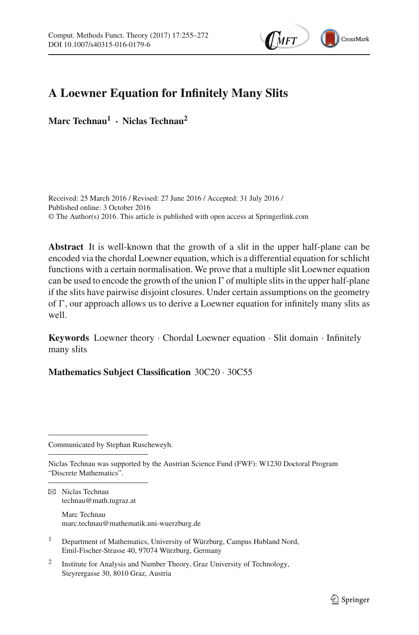

# **A Loewner Equation for Infinitely Many Slits**

**Marc Technau1 · Niclas Technau2**

Received: 25 March 2016 / Revised: 27 June 2016 / Accepted: 31 July 2016 / Published online: 3 October 2016 © The Author(s) 2016. This article is published with open access at Springerlink.com

**Abstract** It is well-known that the growth of a slit in the upper half-plane can be encoded via the chordal Loewner equation, which is a differential equation for schlicht functions with a certain normalisation. We prove that a multiple slit Loewner equation can be used to encode the growth of the union  $\Gamma$  of multiple slits in the upper half-plane if the slits have pairwise disjoint closures. Under certain assumptions on the geometry of  $\Gamma$ , our approach allows us to derive a Loewner equation for infinitely many slits as well.

**Keywords** Loewner theory · Chordal Loewner equation · Slit domain · Infinitely many slits

**Mathematics Subject Classification** 30C20 · 30C55

Communicated by Stephan Ruscheweyh.

marc.technau@mathematik.uni-wuerzburg.de

- <sup>1</sup> Department of Mathematics, University of Würzburg, Campus Hubland Nord, Emil-Fischer-Strasse 40, 97074 Würzburg, Germany
- <sup>2</sup> Institute for Analysis and Number Theory, Graz University of Technology, Steyrergasse 30, 8010 Graz, Austria

Niclas Technau was supported by the Austrian Science Fund (FWF): W1230 Doctoral Program "Discrete Mathematics".

 $\boxtimes$  Niclas Technau technau@math.tugraz.at Marc Technau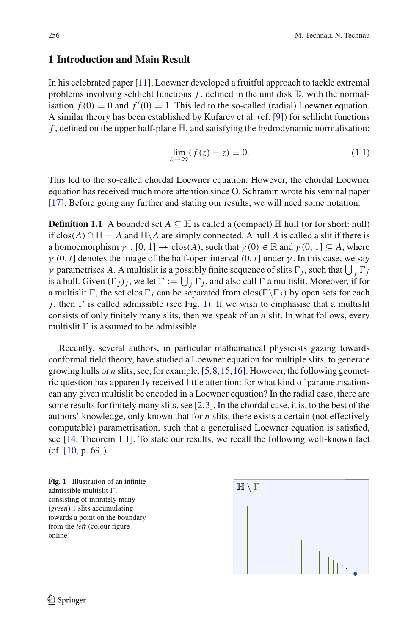## **1 Introduction and Main Result**

In his celebrated paper [\[11](#page-17-0)], Loewner developed a fruitful approach to tackle extremal problems involving schlicht functions  $f$ , defined in the unit disk  $\mathbb{D}$ , with the normalisation  $f(0) = 0$  and  $f'(0) = 1$ . This led to the so-called (radial) Loewner equation. A similar theory has been established by Kufarev et al. (cf. [\[9\]](#page-17-1)) for schlicht functions *f* , defined on the upper half-plane H, and satisfying the hydrodynamic normalisation:

$$
\lim_{z \to \infty} (f(z) - z) = 0. \tag{1.1}
$$

<span id="page-1-1"></span>This led to the so-called chordal Loewner equation. However, the chordal Loewner equation has received much more attention since O. Schramm wrote his seminal paper [\[17](#page-17-2)]. Before going any further and stating our results, we will need some notation.

**Definition 1.1** A bounded set  $A \subseteq \mathbb{H}$  is called a (compact)  $\mathbb{H}$  hull (or for short: hull) if  $clos(A) ∩ H = A$  and  $H\A$  are simply connected. A hull A is called a slit if there is a homoemorphism  $\gamma : [0, 1] \to \text{clos}(A)$ , such that  $\gamma(0) \in \mathbb{R}$  and  $\gamma(0, 1] \subseteq A$ , where  $\gamma$  (0, *t*] denotes the image of the half-open interval (0, *t*] under  $\gamma$ . In this case, we say *γ* parametrises *A*. A multislit is a possibly finite sequence of slits  $\Gamma_j$ , such that  $\bigcup_j \Gamma_j$ is a hull. Given  $(\Gamma_j)_j$ , we let  $\Gamma := \bigcup_j \Gamma_j$ , and also call  $\Gamma$  a multislit. Moreover, if for a multislit  $\Gamma$ , the set clos  $\Gamma_j$  can be separated from clos( $\Gamma \backslash \Gamma_j$ ) by open sets for each  $j$ , then  $\Gamma$  is called admissible (see Fig. [1\)](#page-1-0). If we wish to emphasise that a multislit consists of only finitely many slits, then we speak of an *n* slit. In what follows, every multislit  $\Gamma$  is assumed to be admissible.

Recently, several authors, in particular mathematical physicists gazing towards conformal field theory, have studied a Loewner equation for multiple slits, to generate growing hulls or *n* slits; see, for example, [\[5](#page-16-0)[,8](#page-16-1)[,15](#page-17-3),[16\]](#page-17-4). However, the following geometric question has apparently received little attention: for what kind of parametrisations can any given multislit be encoded in a Loewner equation? In the radial case, there are some results for finitely many slits, see  $[2,3]$  $[2,3]$  $[2,3]$ . In the chordal case, it is, to the best of the authors' knowledge, only known that for *n* slits, there exists a certain (not effectively computable) parametrisation, such that a generalised Loewner equation is satisfied, see [\[14,](#page-17-5) Theorem 1.1]. To state our results, we recall the following well-known fact  $(cf. [10, p. 69]).$  $(cf. [10, p. 69]).$  $(cf. [10, p. 69]).$ 

<span id="page-1-2"></span><span id="page-1-0"></span>**Fig. 1** Illustration of an infinite admissible multislit  $\Gamma,$ consisting of infinitely many (*green*) 1 slits accumulating towards a point on the boundary from the *left* (colour figure online)

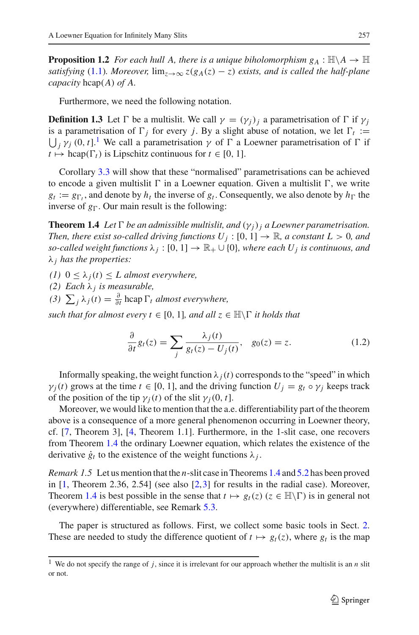**Proposition 1.2** *For each hull A, there is a unique biholomorphism*  $g_A : \mathbb{H} \backslash A \rightarrow \mathbb{H}$ *satisfying* [\(1.1\)](#page-1-1)*. Moreover,*  $\lim_{z\to\infty} z(g_A(z) - z)$  *exists, and is called the half-plane capacity* hcap(*A*) *of A.*

Furthermore, we need the following notation.

<span id="page-2-2"></span>**Definition 1.3** Let  $\Gamma$  be a multislit. We call  $\gamma = (\gamma_j)_j$  a parametrisation of  $\Gamma$  if  $\gamma_j$ is a parametrisation of  $\Gamma_j$  for every *j*. By a slight abuse of notation, we let  $\Gamma_t :=$  $\bigcup_j \gamma_j$  (0, *t*].<sup>[1](#page-2-0)</sup> We call a parametrisation  $\gamma$  of  $\Gamma$  a Loewner parametrisation of  $\Gamma$  if  $t \mapsto \text{hcap}(\Gamma_t)$  is Lipschitz continuous for  $t \in [0, 1]$ .

Corollary [3.3](#page-8-0) will show that these "normalised" parametrisations can be achieved to encode a given multislit  $\Gamma$  in a Loewner equation. Given a multislit  $\Gamma,$  we write  $g_t := g_{\Gamma_t}$ , and denote by  $h_t$  the inverse of  $g_t$ . Consequently, we also denote by  $h_{\Gamma}$  the inverse of  $g_{\Gamma}$ . Our main result is the following:

<span id="page-2-1"></span>**Theorem 1.4** Let  $\Gamma$  be an admissible multislit, and  $(\gamma_j)_j$  a Loewner parametrisation. *Then, there exist so-called driving functions*  $U_j$  :  $[0, 1] \rightarrow \mathbb{R}$ *, a constant*  $L > 0$ *, and so-called weight functions*  $\lambda_j : [0, 1] \to \mathbb{R}_+ \cup \{0\}$ *, where each U<sub>j</sub> is continuous, and* λ*<sup>j</sup> has the properties:*

- *(1)* 0 ≤ λ*j*(*t*) ≤ *L almost everywhere,*
- *(2) Each* λ*<sup>j</sup> is measurable,*
- $(3)$   $\sum_{j} \lambda_{j}(t) = \frac{\partial}{\partial t} \operatorname{hcap} \Gamma_{t}$  *almost everywhere,*

<span id="page-2-3"></span> $such that for almost every  $t \in [0, 1]$ , and all  $z \in \mathbb{H} \backslash \Gamma$  it holds that$ 

$$
\frac{\partial}{\partial t}g_t(z) = \sum_j \frac{\lambda_j(t)}{g_t(z) - U_j(t)}, \quad g_0(z) = z. \tag{1.2}
$$

Informally speaking, the weight function  $\lambda_i(t)$  corresponds to the "speed" in which  $\gamma_i(t)$  grows at the time  $t \in [0, 1]$ , and the driving function  $U_i = g_t \circ \gamma_i$  keeps track of the position of the tip  $\gamma_i(t)$  of the slit  $\gamma_i(0, t]$ .

Moreover, we would like to mention that the a.e. differentiability part of the theorem above is a consequence of a more general phenomenon occurring in Loewner theory, cf. [\[7,](#page-16-4) Theorem 3], [\[4](#page-16-5), Theorem 1.1]. Furthermore, in the 1-slit case, one recovers from Theorem [1.4](#page-2-1) the ordinary Loewner equation, which relates the existence of the derivative  $\dot{g}_t$  to the existence of the weight functions  $\lambda_j$ .

*Remark 1.5* Let us mention that the *n*-slit case in Theorems [1.4](#page-2-1) and [5.2](#page-15-0) has been proved in  $[1,$  $[1,$  Theorem 2.36, 2.54] (see also  $[2,3]$  $[2,3]$  $[2,3]$  for results in the radial case). Moreover, Theorem [1.4](#page-2-1) is best possible in the sense that  $t \mapsto g_t(z)$  ( $z \in \mathbb{H}\setminus\Gamma$ ) is in general not (everywhere) differentiable, see Remark [5.3.](#page-16-7)

The paper is structured as follows. First, we collect some basic tools in Sect. [2.](#page-3-0) These are needed to study the difference quotient of  $t \mapsto g_t(z)$ , where  $g_t$  is the map

<span id="page-2-0"></span><sup>&</sup>lt;sup>1</sup> We do not specify the range of  $j$ , since it is irrelevant for our approach whether the multislit is an  $n$  slit or not.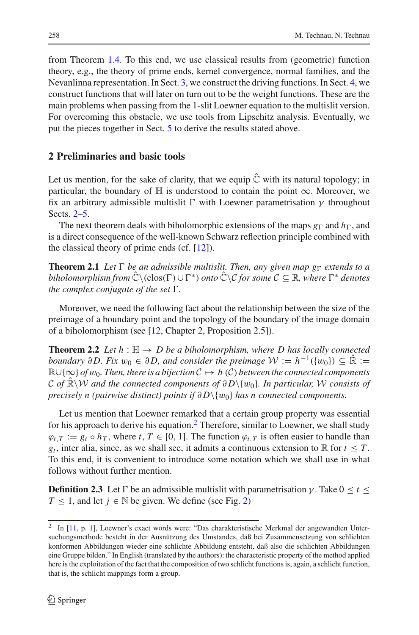from Theorem [1.4.](#page-2-1) To this end, we use classical results from (geometric) function theory, e.g., the theory of prime ends, kernel convergence, normal families, and the Nevanlinna representation. In Sect. [3,](#page-7-0) we construct the driving functions. In Sect. [4,](#page-10-0) we construct functions that will later on turn out to be the weight functions. These are the main problems when passing from the 1-slit Loewner equation to the multislit version. For overcoming this obstacle, we use tools from Lipschitz analysis. Eventually, we put the pieces together in Sect. [5](#page-14-0) to derive the results stated above.

## <span id="page-3-0"></span>**2 Preliminaries and basic tools**

Let us mention, for the sake of clarity, that we equip  $\hat{C}$  with its natural topology; in particular, the boundary of  $H$  is understood to contain the point  $\infty$ . Moreover, we fix an arbitrary admissible multislit  $\Gamma$  with Loewner parametrisation  $\gamma$  throughout Sects. [2–](#page-3-0)[5.](#page-14-0)

The next theorem deals with biholomorphic extensions of the maps  $g_{\Gamma}$  and  $h_{\Gamma}$ , and is a direct consequence of the well-known Schwarz reflection principle combined with the classical theory of prime ends (cf. [\[12](#page-17-7)]).

<span id="page-3-3"></span>**Theorem 2.1** Let  $\Gamma$  be an admissible multislit. Then, any given map  $g_{\Gamma}$  extends to a  $b$ *iholomorphism from*  $\hat{\mathbb{C}} \setminus (\text{clos}(\Gamma) \cup \Gamma^*)$  *onto*  $\hat{\mathbb{C}} \setminus \mathcal{C}$  *for some*  $\mathcal{C} \subseteq \mathbb{R}$ *, where*  $\Gamma^*$  *denotes* the complex conjugate of the set  $\Gamma$ *.* 

Moreover, we need the following fact about the relationship between the size of the preimage of a boundary point and the topology of the boundary of the image domain of a biholomorphism (see [\[12,](#page-17-7) Chapter 2, Proposition 2.5]).

<span id="page-3-2"></span>**Theorem 2.2** Let  $h : \mathbb{H} \to D$  be a biholomorphism, where D has locally connected *boundary* ∂D. Fix  $w_0 \in \partial D$ , and consider the preimage  $W := h^{-1}(\{w_0\}) \subseteq \mathbb{R} :=$ <sup>R</sup>∪{∞} *of* <sup>w</sup>0*. Then, there is a bijection <sup>C</sup>* → *<sup>h</sup>* (*C*) *between the connected components <sup>C</sup> of* <sup>R</sup><sup>ˆ</sup> \*<sup>W</sup> and the connected components of* <sup>∂</sup> *<sup>D</sup>*\{w0}*. In particular, <sup>W</sup> consists of precisely n (pairwise distinct) points if*  $\partial D \setminus \{w_0\}$  *has n connected components.* 

Let us mention that Loewner remarked that a certain group property was essential for his approach to derive his equation.<sup>2</sup> Therefore, similar to Loewner, we shall study  $\varphi_{t,T} := g_t \circ h_T$ , where  $t, T \in [0, 1]$ . The function  $\varphi_{t,T}$  is often easier to handle than *g<sub>t</sub>*, inter alia, since, as we shall see, it admits a continuous extension to  $\mathbb R$  for  $t \leq T$ . To this end, it is convenient to introduce some notation which we shall use in what follows without further mention.

<span id="page-3-4"></span>**Definition 2.3** Let  $\Gamma$  be an admissible multislit with parametrisation  $\gamma$ . Take  $0 \le t \le$ *T* ≤ 1, and let *j* ∈  $\mathbb N$  be given. We define (see Fig. [2\)](#page-4-0)

<span id="page-3-1"></span><sup>2</sup> In [\[11](#page-17-0), p. 1], Loewner's exact words were: "Das charakteristische Merkmal der angewandten Untersuchungsmethode besteht in der Ausnützung des Umstandes, daß bei Zusammensetzung von schlichten konformen Abbildungen wieder eine schlichte Abbildung entsteht, daß also die schlichten Abbildungen eine Gruppe bilden." In English (translated by the authors): the characteristic property of the method applied here is the exploitation of the fact that the composition of two schlicht functions is, again, a schlicht function, that is, the schlicht mappings form a group.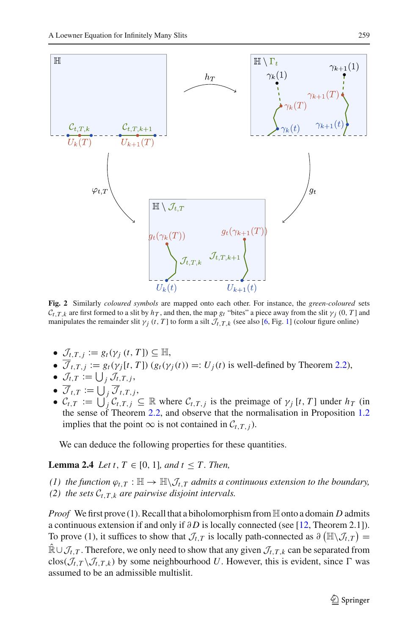

<span id="page-4-0"></span>**Fig. 2** Similarly *coloured symbols* are mapped onto each other. For instance, the *green-coloured* sets  $C_{t,T,k}$  are first formed to a slit by  $h_T$ , and then, the map  $g_t$  "bites" a piece away from the slit  $\gamma_i$  (0, *T* ] and manipulates the remainder slit  $\gamma_i$  (*t*, *T* ] to form a silt  $\mathcal{J}_{t,T,k}$  (see also [\[6](#page-16-8), Fig. [1\]](#page-1-0) (colour figure online)

- $\mathcal{J}_{t,T,j} := g_t(\gamma_j(t,T]) \subseteq \mathbb{H},$
- $\overline{\mathcal{J}}_{t,T,j} := g_t(\gamma_j[t, T]) (g_t(\gamma_j(t))) =: U_j(t)$  is well-defined by Theorem [2.2\)](#page-3-2),
- $\bullet$   $\mathcal{J}_{t,T} := \bigcup_j \mathcal{J}_{t,T,j},$
- $\bullet$   $\mathcal{J}_{t,T} := \bigcup_j \mathcal{J}_{t,T,j},$
- $C_{t,T} := \bigcup_{j=1}^{t} C_{t,T,j} \subseteq \mathbb{R}$  where  $C_{t,T,j}$  is the preimage of  $\gamma_j$  [*t*, *T*] under  $h_T$  (in the sense of Theorem [2.2,](#page-3-2) and observe that the normalisation in Proposition [1.2](#page-1-2) implies that the point ∞ is not contained in  $C_{t,T,i}$ ).

We can deduce the following properties for these quantities.

<span id="page-4-1"></span>**Lemma 2.4** *Let t*,  $T \in [0, 1]$ *, and t*  $\leq T$ *. Then,* 

*(1) the function*  $\varphi_{t,T} : \mathbb{H} \to \mathbb{H} \setminus \mathcal{J}_{t,T}$  *admits a continuous extension to the boundary, (2) the sets*  $C_{t,T,k}$  *are pairwise disjoint intervals.* 

*Proof* We first prove (1). Recall that a biholomorphism from  $\mathbb H$  onto a domain *D* admits a continuous extension if and only if ∂ *D* is locally connected (see [\[12,](#page-17-7) Theorem 2.1]). To prove (1), it suffices to show that  $\mathcal{J}_{t,T}$  is locally path-connected as  $\partial (\mathbb{H} \setminus \mathcal{J}_{t,T}) =$  $\mathbb{R} \cup \mathcal{J}_{t,T}$ . Therefore, we only need to show that any given  $\mathcal{J}_{t,T,k}$  can be separated from clos( $\mathcal{J}_{t,T} \setminus \mathcal{J}_{t,T,k}$ ) by some neighbourhood U. However, this is evident, since  $\Gamma$  was assumed to be an admissible multislit.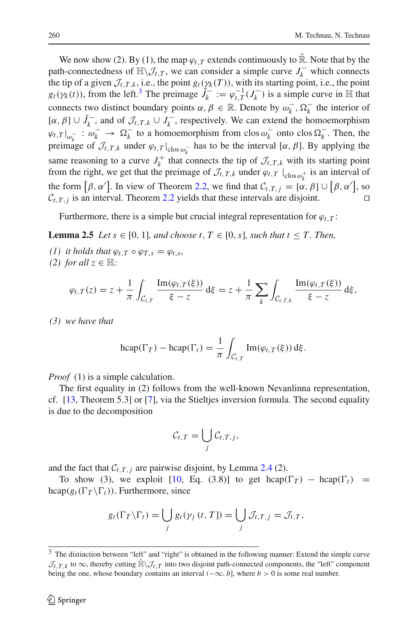We now show (2). By (1), the map  $\varphi_{t,T}$  extends continuously to  $\hat{\mathbb{R}}$ . Note that by the path-connectedness of  $\mathbb{H}\setminus\mathcal{J}_{t,T}$ , we can consider a simple curve  $J_k^-$  which connects the tip of a given  $\mathcal{J}_{t,T,k}$ , i.e., the point  $g_t(\gamma_k(T))$ , with its starting point, i.e., the point  $g_t(\gamma_k(t))$ , from the left.<sup>[3](#page-5-0)</sup> The preimage  $\tilde{J}_k^- := \varphi_{t,T}^{-1}(J_k^-)$  is a simple curve in  $\mathbb H$  that connects two distinct boundary points  $\alpha, \beta \in \mathbb{R}$ . Denote by  $\omega_k^-$ ,  $\Omega_k^-$  the interior of  $[\alpha, \beta] \cup J_k^-$ , and of  $\mathcal{J}_{t,T,k} \cup J_k^-$ , respectively. We can extend the homoemorphism  $\varphi_{t,T}|_{\omega_k^-} : \omega_k^- \to \Omega_k^-$  to a homoemorphism from clos  $\omega_k^-$  onto clos  $\Omega_k^-$ . Then, the preimage of  $\mathcal{J}_{t,T,k}$  under  $\varphi_{t,T}|_{\text{clos } \omega_k^-}$  has to be the interval [ $\alpha$ ,  $\beta$ ]. By applying the same reasoning to a curve  $J_k^+$  that connects the tip of  $\mathcal{J}_{t,T,k}$  with its starting point from the right, we get that the preimage of  $\mathcal{J}_{t,T,k}$  under  $\varphi_{t,T}$   $|_{\text{clos}\,\omega_k^+}$  is an interval of the form  $[\beta, \alpha']$ . In view of Theorem [2.2,](#page-3-2) we find that  $C_{t,T,j} = [\alpha, \beta] \cup [\beta, \alpha']$ , so  $C_{t,T,i}$  is an interval. Theorem [2.2](#page-3-2) yields that these intervals are disjoint.

Furthermore, there is a simple but crucial integral representation for  $\varphi_t$ ,*T*:

<span id="page-5-1"></span>**Lemma 2.5** *Let*  $s \in [0, 1]$ *, and choose t*,  $T \in [0, s]$ *, such that*  $t \leq T$ *. Then,* 

- *(1) it holds that*  $\varphi_{t,T} \circ \varphi_{T,s} = \varphi_{t,s}$ ,
- *(2) for all*  $z \in \mathbb{H}$ *:*

$$
\varphi_{t,T}(z) = z + \frac{1}{\pi} \int_{\mathcal{C}_{t,T}} \frac{\operatorname{Im}(\varphi_{t,T}(\xi))}{\xi - z} d\xi = z + \frac{1}{\pi} \sum_{k} \int_{\mathcal{C}_{t,T,k}} \frac{\operatorname{Im}(\varphi_{t,T}(\xi))}{\xi - z} d\xi,
$$

*(3) we have that*

$$
\operatorname{hcap}(\Gamma_T) - \operatorname{hcap}(\Gamma_t) = \frac{1}{\pi} \int_{\mathcal{C}_{t,T}} \operatorname{Im}(\varphi_{t,T}(\xi)) \, \mathrm{d}\xi.
$$

*Proof* (1) is a simple calculation.

The first equality in (2) follows from the well-known Nevanlinna representation, cf. [\[13](#page-17-8), Theorem 5.3] or [\[7](#page-16-4)], via the Stieltjes inversion formula. The second equality is due to the decomposition

$$
\mathcal{C}_{t,T}=\bigcup_j\mathcal{C}_{t,T,j},
$$

and the fact that  $C_{t,T,j}$  are pairwise disjoint, by Lemma [2.4](#page-4-1) (2).

To show (3), we exploit [\[10](#page-17-6), Eq. (3.8)] to get hcap( $\Gamma_T$ ) – hcap( $\Gamma_t$ ) =  $\text{hcap}(g_t(\Gamma_T \setminus \Gamma_t))$ . Furthermore, since

$$
g_t(\Gamma_T \backslash \Gamma_t) = \bigcup_j g_t(\gamma_j(t, T]) = \bigcup_j \mathcal{J}_{t, T, j} = \mathcal{J}_{t, T},
$$

<span id="page-5-0"></span><sup>&</sup>lt;sup>3</sup> The distinction between "left" and "right" is obtained in the following manner: Extend the simple curve  $\mathcal{J}_{t,T,k}$  to  $\infty$ , thereby cutting  $\hat{\mathbb{H}} \setminus \mathcal{J}_{t,T}$  into two disjoint path-connected components, the "left" component being the one, whose boundary contains an interval  $(-\infty, b]$ , where *b* > 0 is some real number.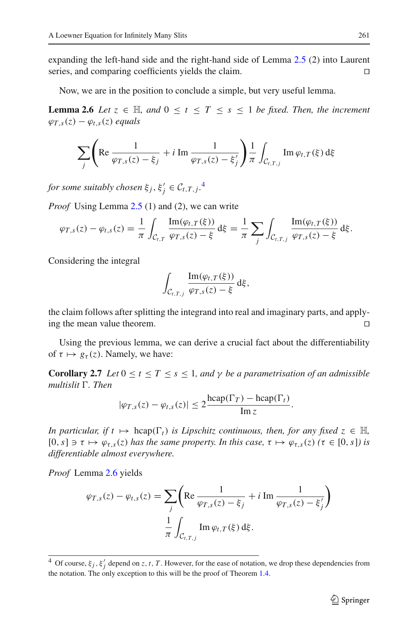expanding the left-hand side and the right-hand side of Lemma [2.5](#page-5-1) (2) into Laurent series, and comparing coefficients yields the claim.

Now, we are in the position to conclude a simple, but very useful lemma.

<span id="page-6-1"></span>**Lemma 2.6** *Let*  $z \in \mathbb{H}$ *, and*  $0 \le t \le T \le s \le 1$  *be fixed. Then, the increment*  $\varphi_{T,s}(z) - \varphi_{t,s}(z)$  *equals* 

$$
\sum_{j} \left( \text{Re} \frac{1}{\varphi_{T,s}(z) - \xi_j} + i \text{ Im } \frac{1}{\varphi_{T,s}(z) - \xi'_j} \right) \frac{1}{\pi} \int_{\mathcal{C}_{t,T,j}} \text{Im } \varphi_{t,T}(\xi) \, \mathrm{d}\xi
$$

*for some suitably chosen*  $\xi_j$ ,  $\xi'_j \in C_{t,T,j}$ .<sup>[4](#page-6-0)</sup>

*Proof* Using Lemma [2.5](#page-5-1) (1) and (2), we can write

$$
\varphi_{T,s}(z) - \varphi_{t,s}(z) = \frac{1}{\pi} \int_{\mathcal{C}_{t,T}} \frac{\text{Im}(\varphi_{t,T}(\xi))}{\varphi_{T,s}(z) - \xi} d\xi = \frac{1}{\pi} \sum_j \int_{\mathcal{C}_{t,T,j}} \frac{\text{Im}(\varphi_{t,T}(\xi))}{\varphi_{T,s}(z) - \xi} d\xi.
$$

Considering the integral

$$
\int_{\mathcal{C}_{t,T,j}} \frac{\mathrm{Im}(\varphi_{t,T}(\xi))}{\varphi_{T,s}(z)-\xi} \,\mathrm{d}\xi,
$$

the claim follows after splitting the integrand into real and imaginary parts, and applying the mean value theorem.

<span id="page-6-2"></span>Using the previous lemma, we can derive a crucial fact about the differentiability of  $\tau \mapsto g_{\tau}(z)$ . Namely, we have:

**Corollary 2.7** *Let*  $0 \le t \le T \le s \le 1$ *, and*  $\gamma$  *be a parametrisation of an admissible* multislit Γ. *Then* 

$$
|\varphi_{T,s}(z) - \varphi_{t,s}(z)| \leq 2 \frac{\text{hcap}(\Gamma_T) - \text{hcap}(\Gamma_t)}{\text{Im } z}.
$$

*In particular, if*  $t \mapsto \text{hcap}(\Gamma_t)$  *is Lipschitz continuous, then, for any fixed*  $z \in \mathbb{H}$ ,  $[0, s] \ni \tau \mapsto \varphi_{\tau,s}(z)$  *has the same property. In this case,*  $\tau \mapsto \varphi_{\tau,s}(z)$  ( $\tau \in [0, s]$ ) is *differentiable almost everywhere.*

*Proof* Lemma [2.6](#page-6-1) yields

$$
\varphi_{T,s}(z) - \varphi_{t,s}(z) = \sum_j \left( \text{Re} \frac{1}{\varphi_{T,s}(z) - \xi_j} + i \text{ Im} \frac{1}{\varphi_{T,s}(z) - \xi_j'} \right)
$$

$$
\frac{1}{\pi} \int_{\mathcal{C}_{t,T,j}} \text{Im} \, \varphi_{t,T}(\xi) \, d\xi.
$$

<span id="page-6-0"></span><sup>&</sup>lt;sup>4</sup> Of course,  $\xi_j$ ,  $\xi'_j$  depend on *z*, *t*, *T*. However, for the ease of notation, we drop these dependencies from the notation. The only exception to this will be the proof of Theorem  $1.4$ .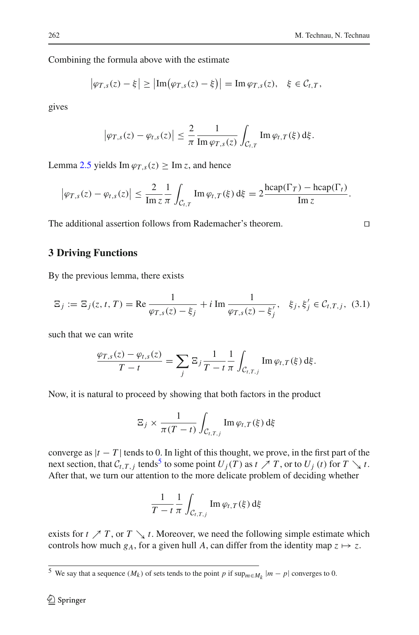#### Combining the formula above with the estimate

$$
\left|\varphi_{T,s}(z)-\xi\right|\geq \left|\operatorname{Im}\left(\varphi_{T,s}(z)-\xi\right)\right|=\operatorname{Im}\varphi_{T,s}(z),\quad \xi\in\mathcal{C}_{t,T},
$$

gives

$$
\left|\varphi_{T,s}(z)-\varphi_{t,s}(z)\right|\leq \frac{2}{\pi}\frac{1}{\operatorname{Im}\varphi_{T,s}(z)}\int_{\mathcal{C}_{t,T}}\operatorname{Im}\varphi_{t,T}(\xi)\,\mathrm{d}\xi.
$$

Lemma [2.5](#page-5-1) yields Im  $\varphi_{T}$ ,  $(z)$  > Im *z*, and hence

$$
\left|\varphi_{T,s}(z)-\varphi_{t,s}(z)\right|\leq \frac{2}{\text{Im }z}\frac{1}{\pi}\int_{\mathcal{C}_{t,T}}\text{Im }\varphi_{t,T}(\xi)\,\mathrm{d}\xi=2\frac{\text{hcap}(\Gamma_T)-\text{hcap}(\Gamma_t)}{\text{Im }z}.
$$

The additional assertion follows from Rademacher's theorem.

## <span id="page-7-0"></span>**3 Driving Functions**

By the previous lemma, there exists

<span id="page-7-3"></span>
$$
\Xi_j := \Xi_j(z, t, T) = \text{Re}\,\frac{1}{\varphi_{T,s}(z) - \xi_j} + i \text{ Im}\,\frac{1}{\varphi_{T,s}(z) - \xi'_j}, \quad \xi_j, \xi'_j \in \mathcal{C}_{t,T,j}, \tag{3.1}
$$

such that we can write

$$
\frac{\varphi_{T,s}(z) - \varphi_{t,s}(z)}{T-t} = \sum_j \Xi_j \frac{1}{T-t} \frac{1}{\pi} \int_{\mathcal{C}_{t,T,j}} \text{Im } \varphi_{t,T}(\xi) d\xi.
$$

Now, it is natural to proceed by showing that both factors in the product

$$
\Xi_j \times \frac{1}{\pi (T-t)} \int_{\mathcal{C}_{t,T,j}} \operatorname{Im} \varphi_{t,T}(\xi) \,d\xi
$$

converge as  $|t - T|$  tends to 0. In light of this thought, we prove, in the first part of the next section, that  $C_{t,T,j}$  tends<sup>[5](#page-7-1)</sup> to some point  $U_j(T)$  as  $t \nearrow T$ , or to  $U_j(t)$  for  $T \searrow t$ . After that, we turn our attention to the more delicate problem of deciding whether

$$
\frac{1}{T-t}\frac{1}{\pi}\int_{\mathcal{C}_{t,T,j}}\text{Im}\,\varphi_{t,T}(\xi)\,\mathrm{d}\xi
$$

<span id="page-7-2"></span>exists for  $t \nearrow T$ , or  $T \searrow t$ . Moreover, we need the following simple estimate which controls how much  $g_A$ , for a given hull *A*, can differ from the identity map  $z \mapsto z$ .

$$
\Box
$$

<span id="page-7-1"></span><sup>&</sup>lt;sup>5</sup> We say that a sequence  $(M_k)$  of sets tends to the point *p* if  $\sup_{m \in M_k} |m - p|$  converges to 0.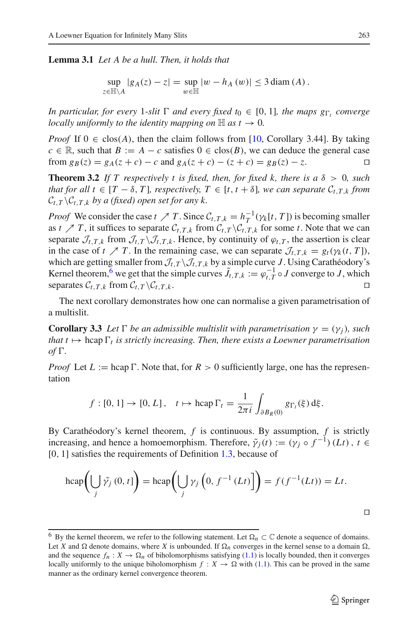#### **Lemma 3.1** *Let A be a hull. Then, it holds that*

sup *<sup>z</sup>*∈H\*<sup>A</sup>*  $|g_A(z) - z| = \sup_{\pi}$  $w\in\mathbb{H}$  $|w - h_A(w)|$  ≤ 3 diam (*A*).

*In particular, for every* 1-slit  $\Gamma$  *and every fixed*  $t_0 \in [0, 1]$ *, the maps*  $g_{\Gamma_t}$  *converge locally uniformly to the identity mapping on*  $\mathbb{H}$  *as t*  $\rightarrow$  0*.* 

*Proof* If  $0 \in \text{clos}(A)$ , then the claim follows from [\[10](#page-17-6), Corollary 3.44]. By taking *c* ∈ R, such that *B* := *A* − *c* satisfies 0 ∈ clos(*B*), we can deduce the general case from  $g_B(z) = g_A(z + c) - c$  and  $g_A(z + c) - (z + c) = g_B(z) - z$ .

<span id="page-8-2"></span>**Theorem 3.2** *If T* respectively *t* is fixed, then, for fixed *k*, there is  $a \delta > 0$ , such *that for all t*  $\in$  [*T*  $-\delta$ , *T*]*, respectively,*  $T \in$  [*t*,  $t + \delta$ ]*, we can separate*  $C_{t,T,k}$  *from*  $C_{t,T} \backslash C_{t,T,k}$  *by a (fixed) open set for any k.* 

*Proof* We consider the case  $t \nearrow T$ . Since  $C_{t,T,k} = h_T^{-1}(\gamma_k[t, T])$  is becoming smaller as *t*  $\mathcal{I}$  *T*, it suffices to separate  $\mathcal{C}_{t,T,k}$  from  $\mathcal{C}_{t,T,k}$  for some *t*. Note that we can separate  $\mathcal{J}_{t,T,k}$  from  $\mathcal{J}_{t,T} \setminus \mathcal{J}_{t,T,k}$ . Hence, by continuity of  $\varphi_{t,T}$ , the assertion is clear in the case of  $t \nearrow T$ . In the remaining case, we can separate  $\mathcal{J}_{t,T,k} = g_t(\gamma_k(t,T))$ , which are getting smaller from  $\mathcal{J}_{t,T} \backslash \mathcal{J}_{t,T,k}$  by a simple curve *J*. Using Carathéodory's Kernel theorem,<sup>[6](#page-8-1)</sup> we get that the simple curves  $\tilde{J}_{t,T,k} := \varphi_{t,T}^{-1} \circ J$  converge to *J*, which separates  $C_{t,T,k}$  from  $C_{t,T} \backslash C_{t,T,k}$ .

<span id="page-8-0"></span>The next corollary demonstrates how one can normalise a given parametrisation of a multislit.

**Corollary 3.3** *Let*  $\Gamma$  *be an admissible multislit with parametrisation*  $\gamma = (\gamma_j)$ *, such* that  $t \mapsto \text{hcap} \, \Gamma_t$  is strictly increasing. Then, there exists a Loewner parametrisation *of*  $\Gamma$ .

*Proof* Let  $L := \text{hcap } \Gamma$ . Note that, for  $R > 0$  sufficiently large, one has the representation

$$
f:[0,1] \to [0,L], \quad t \mapsto \text{hcap }\Gamma_t = \frac{1}{2\pi i} \int_{\partial B_R(0)} g_{\Gamma_t}(\xi) d\xi.
$$

By Carathéodory's kernel theorem, *f* is continuous. By assumption, *f* is strictly increasing, and hence a homoemorphism. Therefore,  $\tilde{\gamma}_j(t) := (\gamma_j \circ f^{-1})(Lt)$ ,  $t \in$ [0, 1] satisfies the requirements of Definition [1.3,](#page-2-2) because of

$$
\operatorname{hcap}\left(\bigcup_{j} \tilde{\gamma_j}(0,t)\right) = \operatorname{hcap}\left(\bigcup_{j} \gamma_j\left(0, f^{-1}(Lt)\right)\right) = f(f^{-1}(Lt)) = Lt.
$$

 $\Box$ 

<span id="page-8-1"></span><sup>&</sup>lt;sup>6</sup> By the kernel theorem, we refer to the following statement. Let  $\Omega_n \subset \mathbb{C}$  denote a sequence of domains. Let *X* and  $\Omega$  denote domains, where *X* is unbounded. If  $\Omega_n$  converges in the kernel sense to a domain  $\Omega$ , and the sequence  $f_n : X \to \Omega_n$  of biholomorphisms satisfying [\(1.1\)](#page-1-1) is locally bounded, then it converges locally uniformly to the unique biholomorphism  $f: X \to \Omega$  with [\(1.1\)](#page-1-1). This can be proved in the same manner as the ordinary kernel convergence theorem.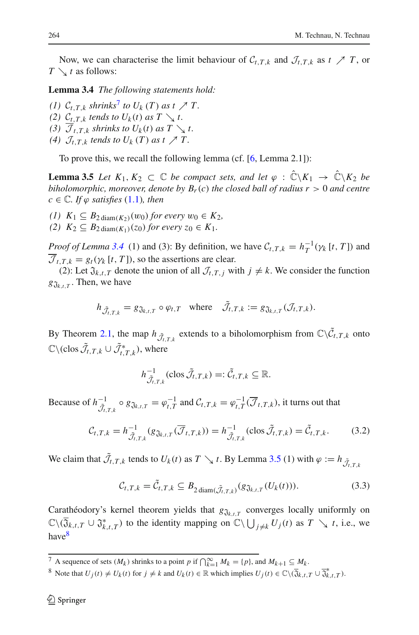<span id="page-9-1"></span>Now, we can characterise the limit behaviour of  $C_{t,T,k}$  and  $\mathcal{J}_{t,T,k}$  as  $t \nearrow T$ , or  $T \setminus t$  as follows:

**Lemma 3.4** *The following statements hold:*

*(1)*  $C_{t,T,k}$  *shrinks*<sup>[7](#page-9-0)</sup> *to*  $U_k(T)$  *as*  $t \nearrow T$ . *(2)*  $C_{t,T,k}$  *tends to*  $U_k(t)$  *as*  $T \searrow t$ . (3)  $\overline{\mathcal{J}}_{t,T,k}$  *shrinks to*  $U_k(t)$  *as*  $T \searrow t$ . (4)  $\mathcal{J}_{t,T,k}$  *tends to*  $U_k(T)$  *as*  $t \nearrow T$ .

To prove this, we recall the following lemma (cf. [\[6](#page-16-8), Lemma 2.1]):

<span id="page-9-2"></span>**Lemma 3.5** *Let*  $K_1, K_2 \subset \mathbb{C}$  *be compact sets, and let*  $\varphi : \hat{\mathbb{C}} \backslash K_1 \to \hat{\mathbb{C}} \backslash K_2$  *be biholomorphic, moreover, denote by*  $B_r(c)$  *the closed ball of radius r* > 0 *and centre*  $c \in \mathbb{C}$ *. If*  $\varphi$  *satisfies* [\(1.1\)](#page-1-1)*, then* 

- *(1)*  $K_1$  ⊆  $B_2$  diam( $K_2$ )(w<sub>0</sub>) *for every*  $w_0$  ∈  $K_2$ ,
- *(2)*  $K_2$  ⊆  $B_2$  diam( $K_1$ )(*z*0) *for every z*<sub>0</sub> ∈  $K_1$ .

*Proof of Lemma* [3.4](#page-9-1) (1) and (3): By definition, we have  $C_{t,T,k} = h_T^{-1}(\gamma_k[t,T])$  and  $\overline{J}_{t}$ ,  $\overline{T}_{k} = g_{t}(\gamma_{k} [t, T])$ , so the assertions are clear.

(2): Let  $\mathfrak{J}_{k,t,T}$  denote the union of all  $\mathcal{J}_{t,T,i}$  with  $j \neq k$ . We consider the function  $g_{\mathfrak{J}_{k,t,T}}$ . Then, we have

$$
h_{\tilde{J}_{t,T,k}} = g_{\tilde{\mathfrak{J}}_{k,t,T}} \circ \varphi_{t,T} \quad \text{where} \quad \tilde{J}_{t,T,k} := g_{\tilde{\mathfrak{J}}_{k,t,T}}(\mathcal{J}_{t,T,k}).
$$

By Theorem [2.1,](#page-3-3) the map  $h_{\tilde{J}_t,T,k}$  extends to a biholomorphism from  $\mathbb{C}\setminus \tilde{C}_{t,T,k}$  onto  $\mathbb{C}\setminus (\text{clos }\tilde{\mathcal{J}}_{t,T,k}\cup \tilde{\mathcal{J}}_{t,T,k}^*), \text{ where }$ 

$$
h_{\tilde{J}_{t,T,k}}^{-1}(\text{clos }\tilde{J}_{t,T,k})=:\tilde{\mathcal{C}}_{t,T,k}\subseteq\mathbb{R}.
$$

Because of  $h^{-1}_{\tilde{J}_{t,T,k}} \circ g_{\mathfrak{J}_{k,t,T}} = \varphi_{t,T}^{-1}$  and  $\mathcal{C}_{t,T,k} = \varphi_{t,T}^{-1}(\overline{\mathcal{J}}_{t,T,k})$ , it turns out that

$$
\mathcal{C}_{t,T,k} = h_{\tilde{\mathcal{J}}_{t,T,k}}^{-1} (g_{\tilde{\mathcal{J}}_{k,t,T}}(\overline{\mathcal{J}}_{t,T,k})) = h_{\tilde{\mathcal{J}}_{t,T,k}}^{-1} (\text{clos } \tilde{\mathcal{J}}_{t,T,k}) = \tilde{\mathcal{C}}_{t,T,k}.
$$
 (3.2)

We claim that  $\mathcal{J}_{t,T,k}$  tends to  $U_k(t)$  as  $T \searrow t$ . By Lemma [3.5](#page-9-2) (1) with  $\varphi := h_{\tilde{\mathcal{J}}_{t,T,k}}$ 

$$
\mathcal{C}_{t,T,k} = \tilde{\mathcal{C}}_{t,T,k} \subseteq B_{2 \operatorname{diam}(\tilde{\mathcal{J}}_{t,T,k})}(g_{\tilde{\mathcal{J}}_{k,t,T}}(U_k(t))).
$$
\n(3.3)

<span id="page-9-4"></span>Carathéodory's kernel theorem yields that  $g_{\tilde{J}_{k,t,T}}$  converges locally uniformly on  $\mathbb{C}\setminus(\overline{Q}_{k,t,T}\cup \mathfrak{J}_{k,t,T}^*)$  to the identity mapping on  $\mathbb{C}\setminus\bigcup_{j\neq k}U_j(t)$  as  $T\searrow t$ , i.e., we hav[e8](#page-9-3)

<sup>7</sup> A sequence of sets  $(M_k)$  shrinks to a point *p* if  $\bigcap_{k=1}^{\infty} M_k = \{p\}$ , and  $M_{k+1} \subseteq M_k$ .

<span id="page-9-3"></span><span id="page-9-0"></span>8 Note that  $U_j(t) \neq U_k(t)$  for  $j \neq k$  and  $U_k(t) \in \mathbb{R}$  which implies  $U_j(t) \in \mathbb{C} \setminus (\overline{\mathfrak{J}}_{k,t,T} \cup \overline{\mathfrak{J}}_{k,t,T}^*)$ .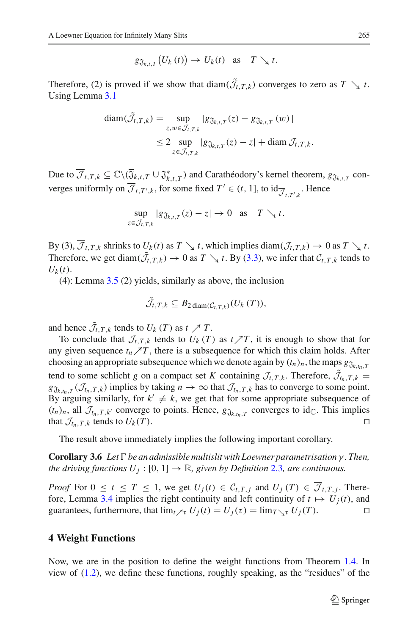$$
g_{\mathfrak{J}_{k,t,T}}\big(U_k\left(t\right)\big)\to U_k(t)\quad\text{as}\quad T\searrow t.
$$

Therefore, (2) is proved if we show that  $\text{diam}(\mathcal{J}_{t,T,k})$  converges to zero as  $T \searrow t$ . Using Lemma [3.1](#page-7-2)

$$
\begin{aligned} \operatorname{diam}(\mathcal{J}_{t,T,k}) &= \sup_{z,w \in \mathcal{J}_{t,T,k}} |g_{\mathfrak{J}_{k,t,T}}(z) - g_{\mathfrak{J}_{k,t,T}}(w)| \\ &\leq 2 \sup_{z \in \mathcal{J}_{t,T,k}} |g_{\mathfrak{J}_{k,t,T}}(z) - z| + \operatorname{diam} \mathcal{J}_{t,T,k} .\end{aligned}
$$

Due to  $\overline{\mathcal{J}}_{t,T,k} \subseteq \mathbb{C}\backslash (\overline{\mathfrak{J}}_{k,t,T} \cup \mathfrak{J}^*_{k,t,T})$  and Carathéodory's kernel theorem,  $g_{\mathfrak{J}_{k,t,T}}$  converges uniformly on  $\mathcal{J}_{t,T',k}$ , for some fixed  $T' \in (t, 1]$ , to  $\mathrm{id}_{\overline{\mathcal{J}}_{t,T',k}}$ . Hence

$$
\sup_{z \in \mathcal{J}_{t,T,k}} |g_{\mathfrak{J}_{k,t,T}}(z) - z| \to 0 \text{ as } T \searrow t.
$$

By (3),  $\overline{\mathcal{J}}_{t,T,k}$  shrinks to  $U_k(t)$  as  $T \searrow t$ , which implies diam $(\mathcal{J}_{t,T,k}) \to 0$  as  $T \searrow t$ . Therefore, we get diam $(\mathcal{J}_{t,T,k}) \to 0$  as  $T \searrow t$ . By [\(3.3\)](#page-9-4), we infer that  $\mathcal{C}_{t,T,k}$  tends to  $U_k(t)$ .

(4): Lemma  $3.5$  (2) yields, similarly as above, the inclusion

$$
\mathcal{J}_{t,T,k} \subseteq B_{2 \operatorname{diam}(\mathcal{C}_{t,T,k})}(U_k(T)),
$$

and hence  $\mathcal{J}_{t,T,k}$  tends to  $U_k(T)$  as  $t \nearrow T$ .

To conclude that  $\mathcal{J}_{t,T,k}$  tends to  $U_k(T)$  as  $t \nearrow T$ , it is enough to show that for any given sequence  $t_n \nearrow T$ , there is a subsequence for which this claim holds. After choosing an appropriate subsequence which we denote again by  $(t_n)_n$ , the maps  $g_{\mathfrak{J}_{k,n,T}}$ tend to some schlicht *g* on a compact set *K* containing  $\mathcal{J}_{t,T,k}$ . Therefore,  $\mathcal{J}_{t_n,T,k}$  $g_{\mathfrak{J}_{k,t_n,T}}(\mathcal{J}_{t_n,T,k})$  implies by taking  $n \to \infty$  that  $\mathcal{J}_{t_n,T,k}$  has to converge to some point. By arguing similarly, for  $k' \neq k$ , we get that for some appropriate subsequence of  $(t_n)_n$ , all  $\mathcal{J}_{t_n,T,k'}$  converge to points. Hence,  $g_{\mathfrak{J}_{k,t_n,T}}$  converges to id<sub>C</sub>. This implies that  $\mathcal{J}_{t_n,T,k}$  tends to  $U_k(T)$ .

The result above immediately implies the following important corollary.

**Corollary 3.6** *Let*- *be an admissible multislit with Loewner parametrisation* γ *. Then, the driving functions*  $U_j$ :  $[0, 1] \rightarrow \mathbb{R}$ *, given by Definition* [2.3](#page-3-4)*, are continuous.* 

*Proof* For  $0 \le t \le T \le 1$ , we get  $U_i(t) \in C_{t,T,i}$  and  $U_i(T) \in \mathcal{J}_{t,T,i}$ . There-fore, Lemma [3.4](#page-9-1) implies the right continuity and left continuity of  $t \mapsto U_i(t)$ , and guarantees, furthermore, that  $\lim_{t \to \tau} U_i(t) = U_i(\tau) = \lim_{T \to \tau} U_i(T)$ .

#### <span id="page-10-0"></span>**4 Weight Functions**

Now, we are in the position to define the weight functions from Theorem [1.4.](#page-2-1) In view of [\(1.2\)](#page-2-3), we define these functions, roughly speaking, as the "residues" of the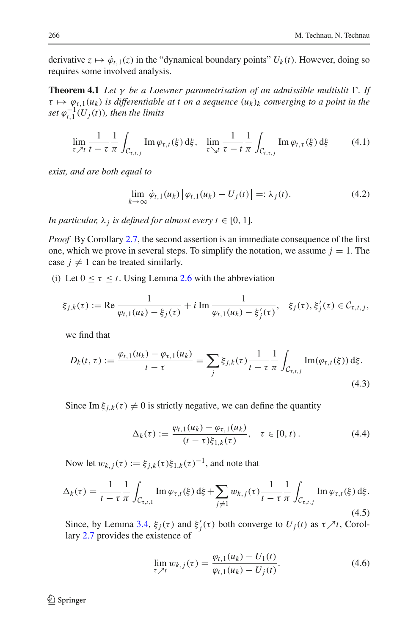<span id="page-11-3"></span>derivative  $z \mapsto \dot{\varphi}_{t,1}(z)$  in the "dynamical boundary points"  $U_k(t)$ . However, doing so requires some involved analysis.

**Theorem 4.1** *Let* γ *be a Loewner parametrisation of an admissible multislit* Γ. *If*  $\tau \mapsto \varphi_{\tau,1}(u_k)$  *is differentiable at t on a sequence*  $(u_k)_k$  *converging to a point in the*  $\int \int_0^1 (U_j(t))$ , then the limits

$$
\lim_{\tau \nearrow t} \frac{1}{t - \tau} \frac{1}{\pi} \int_{\mathcal{C}_{\tau, t, j}} \operatorname{Im} \varphi_{\tau, t}(\xi) \,d\xi, \quad \lim_{\tau \searrow t} \frac{1}{\tau - t} \frac{1}{\pi} \int_{\mathcal{C}_{t, \tau, j}} \operatorname{Im} \varphi_{t, \tau}(\xi) \,d\xi \tag{4.1}
$$

<span id="page-11-2"></span><span id="page-11-1"></span>*exist, and are both equal to*

$$
\lim_{k \to \infty} \dot{\varphi}_{t,1}(u_k) \left[ \varphi_{t,1}(u_k) - U_j(t) \right] =: \lambda_j(t). \tag{4.2}
$$

*In particular,*  $\lambda_j$  *is defined for almost every t*  $\in$  [0, 1]*.* 

*Proof* By Corollary [2.7,](#page-6-2) the second assertion is an immediate consequence of the first one, which we prove in several steps. To simplify the notation, we assume  $j = 1$ . The case  $j \neq 1$  can be treated similarly.

(i) Let  $0 \le \tau \le t$ . Using Lemma [2.6](#page-6-1) with the abbreviation

$$
\xi_{j,k}(\tau) := \text{Re}\,\frac{1}{\varphi_{t,1}(u_k) - \xi_j(\tau)} + i \,\text{Im}\,\frac{1}{\varphi_{t,1}(u_k) - \xi'_j(\tau)}, \quad \xi_j(\tau), \xi'_j(\tau) \in \mathcal{C}_{\tau,t,j},
$$

we find that

$$
D_k(t, \tau) := \frac{\varphi_{t,1}(u_k) - \varphi_{\tau,1}(u_k)}{t - \tau} = \sum_j \xi_{j,k}(\tau) \frac{1}{t - \tau} \frac{1}{\pi} \int_{\mathcal{C}_{\tau,t,j}} \text{Im}(\varphi_{\tau,t}(\xi)) \,d\xi. \tag{4.3}
$$

Since Im  $\xi_{i,k}(\tau) \neq 0$  is strictly negative, we can define the quantity

$$
\Delta_k(\tau) := \frac{\varphi_{t,1}(u_k) - \varphi_{\tau,1}(u_k)}{(t - \tau)\xi_{1,k}(\tau)}, \quad \tau \in [0, t).
$$
\n(4.4)

Now let  $w_{k,j}(\tau) := \xi_{j,k}(\tau) \xi_{1,k}(\tau)^{-1}$ , and note that

<span id="page-11-0"></span>
$$
\Delta_k(\tau) = \frac{1}{t - \tau} \frac{1}{\pi} \int_{C_{\tau, t, 1}} \text{Im } \varphi_{\tau, t}(\xi) \, d\xi + \sum_{j \neq 1} w_{k, j}(\tau) \frac{1}{t - \tau} \frac{1}{\pi} \int_{C_{\tau, t, j}} \text{Im } \varphi_{\tau, t}(\xi) \, d\xi.
$$
\n(4.5)

Since, by Lemma [3.4,](#page-9-1)  $\xi_j(\tau)$  and  $\xi'_j(\tau)$  both converge to  $U_j(t)$  as  $\tau \nearrow t$ , Corollary [2.7](#page-6-2) provides the existence of

$$
\lim_{\tau \nearrow t} w_{k,j}(\tau) = \frac{\varphi_{t,1}(u_k) - U_1(t)}{\varphi_{t,1}(u_k) - U_j(t)}.
$$
\n(4.6)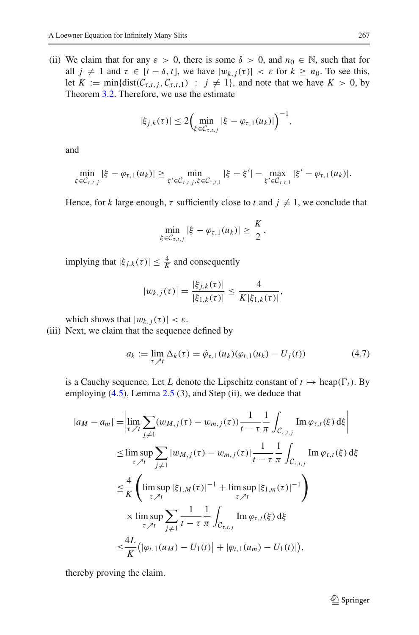(ii) We claim that for any  $\varepsilon > 0$ , there is some  $\delta > 0$ , and  $n_0 \in \mathbb{N}$ , such that for all  $j \neq 1$  and  $\tau \in [t - \delta, t]$ , we have  $|w_{k,j}(\tau)| < \varepsilon$  for  $k \geq n_0$ . To see this, let  $K := min\{dist(\mathcal{C}_{\tau,t,j}, \mathcal{C}_{\tau,t,1}) : j \neq 1\}$ , and note that we have  $K > 0$ , by Theorem [3.2.](#page-8-2) Therefore, we use the estimate

$$
|\xi_{j,k}(\tau)| \leq 2 \Big( \min_{\xi \in C_{\tau,t,j}} |\xi - \varphi_{\tau,1}(u_k)| \Big)^{-1},
$$

and

$$
\min_{\xi \in \mathcal{C}_{\tau,t,j}} |\xi - \varphi_{\tau,1}(u_k)| \geq \min_{\xi' \in \mathcal{C}_{\tau,t,j}, \xi \in \mathcal{C}_{\tau,t,1}} |\xi - \xi'| - \max_{\xi' \in \mathcal{C}_{\tau,t,1}} |\xi' - \varphi_{\tau,1}(u_k)|.
$$

Hence, for *k* large enough,  $\tau$  sufficiently close to *t* and  $j \neq 1$ , we conclude that

$$
\min_{\xi \in \mathcal{C}_{\tau,t,j}} |\xi - \varphi_{\tau,1}(u_k)| \geq \frac{K}{2},
$$

implying that  $|\xi_{j,k}(\tau)| \leq \frac{4}{K}$  and consequently

$$
|w_{k,j}(\tau)| = \frac{|\xi_{j,k}(\tau)|}{|\xi_{1,k}(\tau)|} \leq \frac{4}{K|\xi_{1,k}(\tau)|},
$$

which shows that  $|w_{k,j}(\tau)| < \varepsilon$ .

(iii) Next, we claim that the sequence defined by

$$
a_k := \lim_{\tau \nearrow t} \Delta_k(\tau) = \dot{\varphi}_{\tau,1}(u_k)(\varphi_{t,1}(u_k) - U_j(t)) \tag{4.7}
$$

is a Cauchy sequence. Let *L* denote the Lipschitz constant of  $t \mapsto \text{hcap}(\Gamma_t)$ . By employing  $(4.5)$ , Lemma  $2.5$   $(3)$ , and Step  $(ii)$ , we deduce that

$$
|a_{M} - a_{m}| = \left| \lim_{\tau \nearrow t} \sum_{j \neq 1} (w_{M,j}(\tau) - w_{m,j}(\tau)) \frac{1}{t - \tau} \frac{1}{\pi} \int_{C_{\tau,t,j}} \text{Im } \varphi_{\tau,t}(\xi) \, d\xi \right|
$$
  
\n
$$
\leq \limsup_{\tau \nearrow t} \sum_{j \neq 1} |w_{M,j}(\tau) - w_{m,j}(\tau)| \frac{1}{t - \tau} \frac{1}{\pi} \int_{C_{\tau,t,j}} \text{Im } \varphi_{\tau,t}(\xi) \, d\xi
$$
  
\n
$$
\leq \frac{4}{K} \left( \limsup_{\tau \nearrow t} |\xi_{1,M}(\tau)|^{-1} + \limsup_{\tau \nearrow t} |\xi_{1,m}(\tau)|^{-1} \right)
$$
  
\n
$$
\times \limsup_{\tau \nearrow t} \sum_{j \neq 1} \frac{1}{t - \tau} \frac{1}{\pi} \int_{C_{\tau,t,j}} \text{Im } \varphi_{\tau,t}(\xi) \, d\xi
$$
  
\n
$$
\leq \frac{4L}{K} \left( |\varphi_{t,1}(u_M) - U_1(t)| + |\varphi_{t,1}(u_m) - U_1(t)| \right),
$$

thereby proving the claim.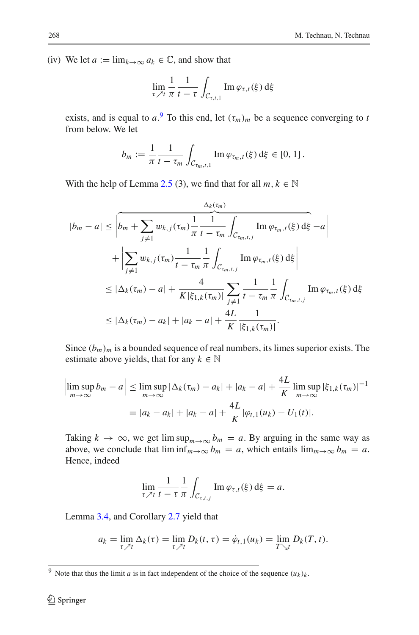(iv) We let  $a := \lim_{k \to \infty} a_k \in \mathbb{C}$ , and show that

$$
\lim_{\tau \nearrow t} \frac{1}{\pi} \frac{1}{t - \tau} \int_{\mathcal{C}_{\tau,t,1}} \operatorname{Im} \varphi_{\tau,t}(\xi) \,d\xi
$$

exists, and is equal to  $a^0$ . To this end, let  $(\tau_m)_m$  be a sequence converging to *t* from below. We let

$$
b_m := \frac{1}{\pi} \frac{1}{t - \tau_m} \int_{C_{\tau_m, t, 1}} \text{Im } \varphi_{\tau_m, t}(\xi) \, d\xi \in [0, 1].
$$

With the help of Lemma [2.5](#page-5-1) (3), we find that for all  $m, k \in \mathbb{N}$ 

$$
|b_{m} - a| \leq \left| \overline{b_{m} + \sum_{j \neq 1} w_{k,j}(\tau_{m})} \frac{1}{\pi} \frac{1}{t - \tau_{m}} \int_{\mathcal{C}_{\tau_{m},t,j}} \text{Im } \varphi_{\tau_{m},t}(\xi) d\xi - a \right|
$$
  
+ 
$$
\left| \sum_{j \neq 1} w_{k,j}(\tau_{m}) \frac{1}{t - \tau_{m}} \frac{1}{\pi} \int_{\mathcal{C}_{\tau_{m},t,j}} \text{Im } \varphi_{\tau_{m},t}(\xi) d\xi \right|
$$
  

$$
\leq |\Delta_{k}(\tau_{m}) - a| + \frac{4}{K |\xi_{1,k}(\tau_{m})|} \sum_{j \neq 1} \frac{1}{t - \tau_{m}} \frac{1}{\pi} \int_{\mathcal{C}_{\tau_{m},t,j}} \text{Im } \varphi_{\tau_{m},t}(\xi) d\xi
$$
  

$$
\leq |\Delta_{k}(\tau_{m}) - a_{k}| + |a_{k} - a| + \frac{4L}{K} \frac{1}{|\xi_{1,k}(\tau_{m})|}.
$$

Since  $(b_m)_m$  is a bounded sequence of real numbers, its limes superior exists. The estimate above yields, that for any  $k \in \mathbb{N}$ 

$$
\left| \limsup_{m \to \infty} b_m - a \right| \leq \limsup_{m \to \infty} |\Delta_k(\tau_m) - a_k| + |a_k - a| + \frac{4L}{K} \limsup_{m \to \infty} |\xi_{1,k}(\tau_m)|^{-1}
$$
  
=  $|a_k - a_k| + |a_k - a| + \frac{4L}{K} |\varphi_{t,1}(u_k) - U_1(t)|.$ 

Taking  $k \to \infty$ , we get lim sup<sub>*m*→∞</sub>  $b_m = a$ . By arguing in the same way as above, we conclude that  $\liminf_{m\to\infty} b_m = a$ , which entails  $\lim_{m\to\infty} b_m = a$ . Hence, indeed

$$
\lim_{\tau \nearrow t} \frac{1}{t - \tau} \frac{1}{\pi} \int_{\mathcal{C}_{\tau,t,j}} \text{Im} \, \varphi_{\tau,t}(\xi) \, \mathrm{d}\xi = a.
$$

Lemma [3.4,](#page-9-1) and Corollary [2.7](#page-6-2) yield that

$$
a_k = \lim_{\tau \nearrow t} \Delta_k(\tau) = \lim_{\tau \nearrow t} D_k(t, \tau) = \dot{\varphi}_{t,1}(u_k) = \lim_{T \searrow t} D_k(T, t).
$$

<span id="page-13-0"></span><sup>&</sup>lt;sup>9</sup> Note that thus the limit *a* is in fact independent of the choice of the sequence  $(u_k)_k$ .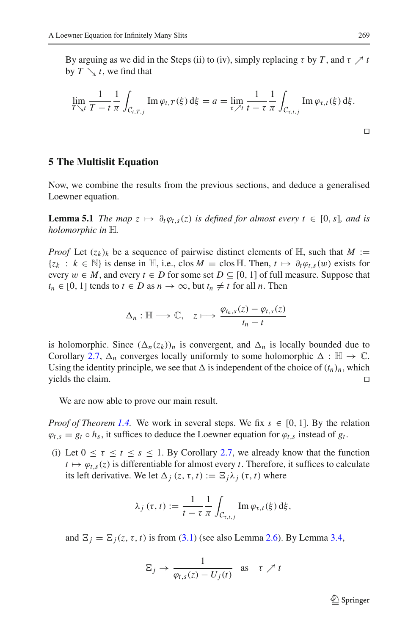By arguing as we did in the Steps (ii) to (iv), simply replacing  $\tau$  by  $T$ , and  $\tau \nearrow t$ by  $T \searrow t$ , we find that

$$
\lim_{T \searrow t} \frac{1}{T - t} \frac{1}{\pi} \int_{\mathcal{C}_{t,T,j}} \text{Im} \, \varphi_{t,T}(\xi) \, \mathrm{d}\xi = a = \lim_{\tau \nearrow t} \frac{1}{t - \tau} \frac{1}{\pi} \int_{\mathcal{C}_{\tau,t,j}} \text{Im} \, \varphi_{\tau,t}(\xi) \, \mathrm{d}\xi.
$$

#### <span id="page-14-0"></span>**5 The Multislit Equation**

<span id="page-14-1"></span>Now, we combine the results from the previous sections, and deduce a generalised Loewner equation.

**Lemma 5.1** *The map*  $z \mapsto \partial_t \varphi_{t,s}(z)$  *is defined for almost every*  $t \in [0, s]$ *, and is holomorphic in* H*.*

*Proof* Let  $(z_k)_k$  be a sequence of pairwise distinct elements of  $\mathbb{H}$ , such that  $M :=$ {*zk* : *<sup>k</sup>* <sup>∈</sup> <sup>N</sup>} is dense in <sup>H</sup>, i.e., clos *<sup>M</sup>* <sup>=</sup> clos <sup>H</sup>. Then, *<sup>t</sup>* → <sup>∂</sup>*t*ϕ*t*,*s*(w) exists for every  $w \in M$ , and every  $t \in D$  for some set  $D \subseteq [0, 1]$  of full measure. Suppose that  $t_n \in [0, 1]$  tends to  $t \in D$  as  $n \to \infty$ , but  $t_n \neq t$  for all *n*. Then

$$
\Delta_n: \mathbb{H} \longrightarrow \mathbb{C}, \quad z \longmapsto \frac{\varphi_{t_n,s}(z) - \varphi_{t,s}(z)}{t_n - t}
$$

is holomorphic. Since  $(\Delta_n(z_k))_n$  is convergent, and  $\Delta_n$  is locally bounded due to Corollary [2.7,](#page-6-2)  $\Delta_n$  converges locally uniformly to some holomorphic  $\Delta : \mathbb{H} \to \mathbb{C}$ . Using the identity principle, we see that  $\Delta$  is independent of the choice of  $(t_n)_n$ , which yields the claim.  $\Box$ 

We are now able to prove our main result.

*Proof of Theorem [1.4.](#page-2-1)* We work in several steps. We fix  $s \in [0, 1]$ . By the relation  $\varphi_{t,s} = g_t \circ h_s$ , it suffices to deduce the Loewner equation for  $\varphi_{t,s}$  instead of  $g_t$ .

(i) Let  $0 \le \tau \le t \le s \le 1$ . By Corollary [2.7,](#page-6-2) we already know that the function  $t \mapsto \varphi_{t,s}(z)$  is differentiable for almost every *t*. Therefore, it suffices to calculate its left derivative. We let  $\Delta_i$  (*z*, *t*, *t*) :=  $\Xi_i \lambda_j$  (*t*, *t*) where

$$
\lambda_j(\tau,t) := \frac{1}{t-\tau} \frac{1}{\pi} \int_{\mathcal{C}_{\tau,t,j}} \operatorname{Im} \varphi_{\tau,t}(\xi) \,d\xi,
$$

and  $\Xi_i = \Xi_i(z, \tau, t)$  is from [\(3.1\)](#page-7-3) (see also Lemma [2.6\)](#page-6-1). By Lemma [3.4,](#page-9-1)

$$
\Xi_j \to \frac{1}{\varphi_{t,s}(z) - U_j(t)} \quad \text{as} \quad \tau \nearrow t
$$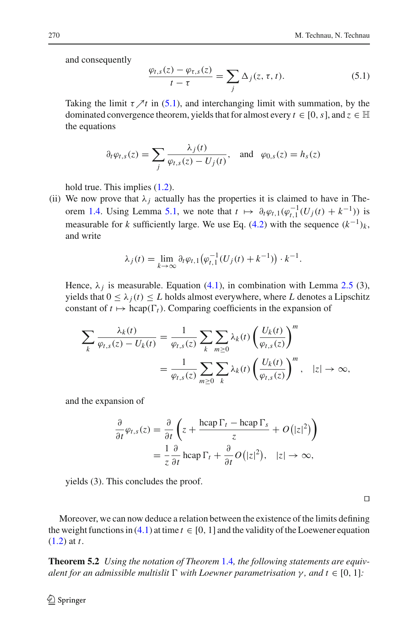<span id="page-15-1"></span>and consequently

$$
\frac{\varphi_{t,s}(z) - \varphi_{\tau,s}(z)}{t - \tau} = \sum_j \Delta_j(z,\tau,t). \tag{5.1}
$$

Taking the limit  $\tau \nearrow t$  in [\(5.1\)](#page-15-1), and interchanging limit with summation, by the dominated convergence theorem, yields that for almost every  $t \in [0, s]$ , and  $z \in \mathbb{H}$ the equations

$$
\partial_t \varphi_{t,s}(z) = \sum_j \frac{\lambda_j(t)}{\varphi_{t,s}(z) - U_j(t)}, \text{ and } \varphi_{0,s}(z) = h_s(z)
$$

hold true. This implies  $(1.2)$ .

(ii) We now prove that  $\lambda_j$  actually has the properties it is claimed to have in The-orem [1.4.](#page-2-1) Using Lemma [5.1,](#page-14-1) we note that  $t \mapsto \partial_t \varphi_{t,1}(\varphi_{t,1}^{-1}(U_j(t) + k^{-1}))$  is measurable for *k* sufficiently large. We use Eq. [\(4.2\)](#page-11-1) with the sequence  $(k^{-1})_k$ , and write

$$
\lambda_j(t) = \lim_{k \to \infty} \partial_t \varphi_{t,1} \big( \varphi_{t,1}^{-1}(U_j(t) + k^{-1}) \big) \cdot k^{-1}.
$$

Hence,  $\lambda_i$  is measurable. Equation [\(4.1\)](#page-11-2), in combination with Lemma [2.5](#page-5-1) (3), yields that  $0 \leq \lambda_i(t) \leq L$  holds almost everywhere, where L denotes a Lipschitz constant of  $t \mapsto \text{hcap}(\Gamma_t)$ . Comparing coefficients in the expansion of

$$
\sum_{k} \frac{\lambda_{k}(t)}{\varphi_{t,s}(z) - U_{k}(t)} = \frac{1}{\varphi_{t,s}(z)} \sum_{k} \sum_{m \geq 0} \lambda_{k}(t) \left( \frac{U_{k}(t)}{\varphi_{t,s}(z)} \right)^{m}
$$

$$
= \frac{1}{\varphi_{t,s}(z)} \sum_{m \geq 0} \sum_{k} \lambda_{k}(t) \left( \frac{U_{k}(t)}{\varphi_{t,s}(z)} \right)^{m}, \quad |z| \to \infty,
$$

and the expansion of

$$
\frac{\partial}{\partial t}\varphi_{t,s}(z) = \frac{\partial}{\partial t}\left(z + \frac{\operatorname{hcap} \Gamma_t - \operatorname{hcap} \Gamma_s}{z} + O(|z|^2)\right)
$$

$$
= \frac{1}{z}\frac{\partial}{\partial t}\operatorname{hcap} \Gamma_t + \frac{\partial}{\partial t}O(|z|^2), \quad |z| \to \infty,
$$

yields (3). This concludes the proof.

 $\Box$ 

Moreover, we can now deduce a relation between the existence of the limits defining the weight functions in [\(4.1\)](#page-11-2) at time  $t \in [0, 1]$  and the validity of the Loewener equation [\(1.2\)](#page-2-3) at *t*.

<span id="page-15-0"></span>**Theorem 5.2** *Using the notation of Theorem* [1.4](#page-2-1)*, the following statements are equiv* $a$ lent for an admissible multislit  $\Gamma$  with Loewner parametrisation  $\gamma$ , and  $t \in [0, 1]$ :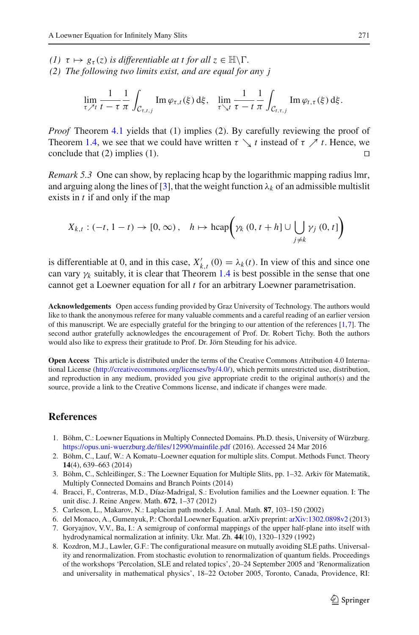*(1)*  $\tau \mapsto g_{\tau}(z)$  *is differentiable at t for all*  $z \in \mathbb{H} \backslash \Gamma$ . *(2) The following two limits exist, and are equal for any j*

$$
\lim_{\tau \nearrow t} \frac{1}{t - \tau} \frac{1}{\pi} \int_{\mathcal{C}_{\tau,t,j}} \text{Im} \, \varphi_{\tau,t}(\xi) \,d\xi, \quad \lim_{\tau \searrow t} \frac{1}{\tau - t} \frac{1}{\pi} \int_{\mathcal{C}_{t,\tau,j}} \text{Im} \, \varphi_{t,\tau}(\xi) \,d\xi.
$$

*Proof* Theorem [4.1](#page-11-3) yields that (1) implies (2). By carefully reviewing the proof of Theorem [1.4,](#page-2-1) we see that we could have written  $\tau \searrow t$  instead of  $\tau \nearrow t$ . Hence, we conclude that (2) implies (1) conclude that (2) implies (1).

<span id="page-16-7"></span>*Remark 5.3* One can show, by replacing hcap by the logarithmic mapping radius lmr, and arguing along the lines of [\[3\]](#page-16-3), that the weight function  $\lambda_k$  of an admissible multislit exists in *t* if and only if the map

$$
X_{k,t}: (-t, 1-t) \to [0, \infty), \quad h \mapsto \text{hcap}\left(\gamma_k(0, t+h] \cup \bigcup_{j \neq k} \gamma_j(0, t]\right)
$$

is differentiable at 0, and in this case,  $X'_{k,t}$  (0) =  $\lambda_k(t)$ . In view of this and since one can vary  $\gamma_k$  suitably, it is clear that Theorem [1.4](#page-2-1) is best possible in the sense that one cannot get a Loewner equation for all *t* for an arbitrary Loewner parametrisation.

**Acknowledgements** Open access funding provided by Graz University of Technology. The authors would like to thank the anonymous referee for many valuable comments and a careful reading of an earlier version of this manuscript. We are especially grateful for the bringing to our attention of the references [\[1](#page-16-6)[,7\]](#page-16-4). The second author gratefully acknowledges the encouragement of Prof. Dr. Robert Tichy. Both the authors would also like to express their gratitude to Prof. Dr. Jörn Steuding for his advice.

**Open Access** This article is distributed under the terms of the Creative Commons Attribution 4.0 International License [\(http://creativecommons.org/licenses/by/4.0/\)](http://creativecommons.org/licenses/by/4.0/), which permits unrestricted use, distribution, and reproduction in any medium, provided you give appropriate credit to the original author(s) and the source, provide a link to the Creative Commons license, and indicate if changes were made.

#### <span id="page-16-6"></span>**References**

- 1. Böhm, C.: Loewner Equations in Multiply Connected Domains. Ph.D. thesis, University of Würzburg. <https://opus.uni-wuerzburg.de/files/12990/mainfile.pdf> (2016). Accessed 24 Mar 2016
- <span id="page-16-2"></span>2. Böhm, C., Lauf, W.: A Komatu–Loewner equation for multiple slits. Comput. Methods Funct. Theory **14**(4), 639–663 (2014)
- <span id="page-16-3"></span>3. Böhm, C., Schleißinger, S.: The Loewner Equation for Multiple Slits, pp. 1–32. Arkiv för Matematik, Multiply Connected Domains and Branch Points (2014)
- <span id="page-16-5"></span>4. Bracci, F., Contreras, M.D., Díaz-Madrigal, S.: Evolution families and the Loewner equation. I: The unit disc. J. Reine Angew. Math. **672**, 1–37 (2012)
- <span id="page-16-0"></span>5. Carleson, L., Makarov, N.: Laplacian path models. J. Anal. Math. **87**, 103–150 (2002)
- <span id="page-16-8"></span>6. del Monaco, A., Gumenyuk, P.: Chordal Loewner Equation. arXiv preprint: [arXiv:1302.0898v2](http://arxiv.org/abs/1302.0898v2) (2013)
- <span id="page-16-4"></span>7. Goryajnov, V.V., Ba, I.: A semigroup of conformal mappings of the upper half-plane into itself with hydrodynamical normalization at infinity. Ukr. Mat. Zh. **44**(10), 1320–1329 (1992)
- <span id="page-16-1"></span>8. Kozdron, M.J., Lawler, G.F.: The configurational measure on mutually avoiding SLE paths. Universality and renormalization. From stochastic evolution to renormalization of quantum fields. Proceedings of the workshops 'Percolation, SLE and related topics', 20–24 September 2005 and 'Renormalization and universality in mathematical physics', 18–22 October 2005, Toronto, Canada, Providence, RI: